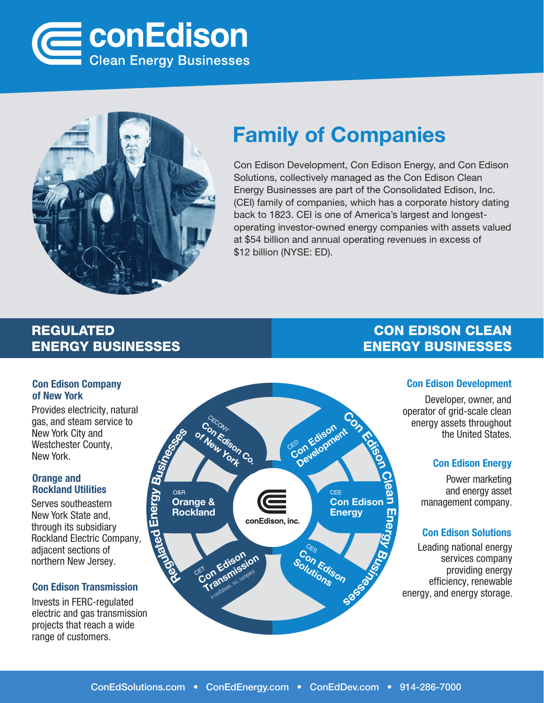



### Family of Companies

Con Edison Development, Con Edison Energy, and Con Edison Solutions, collectively managed as the Con Edison Clean Energy Businesses are part of the Consolidated Edison, Inc. (CEI) family of companies, which has a corporate history dating back to 1823. CEI is one of America's largest and longestoperating investor-owned energy companies with assets valued at \$54 billion and annual operating revenues in excess of \$12 billion (NYSE: ED).

### REGULATED ENERGY BUSINESSES

#### Con Edison Company of New York

Provides electricity, natural gas, and steam service to New York City and Westchester County, New York.

#### Orange and Rockland Utilities

Serves southeastern New York State and, through its subsidiary Rockland Electric Company, adjacent sections of northern New Jersey.

#### Con Edison Transmission

Invests in FERC-regulated electric and gas transmission projects that reach a wide range of customers.



### CON EDISON CLEAN ENERGY BUSINESSES

#### Con Edison Development

Developer, owner, and operator of grid-scale clean energy assets throughout the United States.

#### Con Edison Energy

Power marketing and energy asset management company.

#### Con Edison Solutions

Leading national energy services company providing energy efficiency, renewable energy, and energy storage.